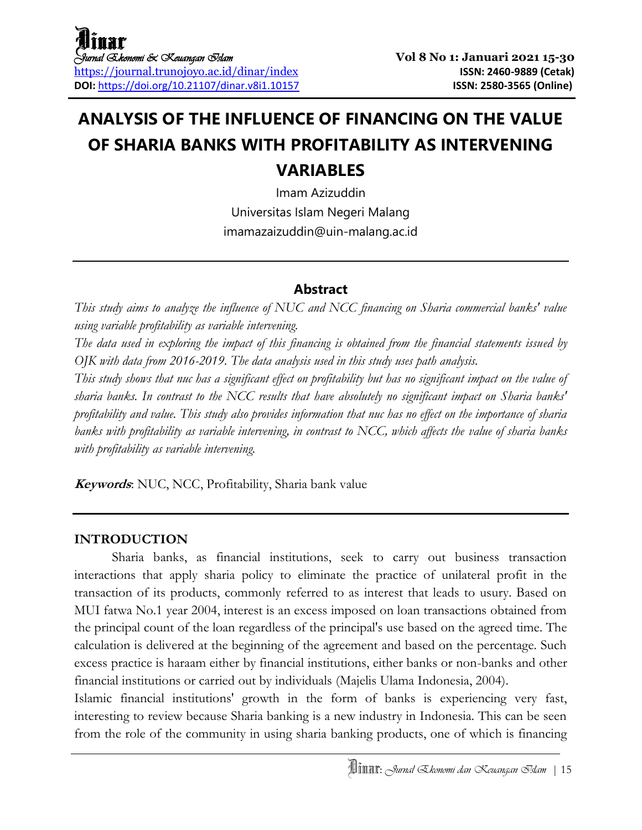## **ANALYSIS OF THE INFLUENCE OF FINANCING ON THE VALUE OF SHARIA BANKS WITH PROFITABILITY AS INTERVENING VARIABLES**

Imam Azizuddin Universitas Islam Negeri Malang imamazaizuddin@uin-malang.ac.id

### **Abstract**

*This study aims to analyze the influence of NUC and NCC financing on Sharia commercial banks' value using variable profitability as variable intervening.*

*The data used in exploring the impact of this financing is obtained from the financial statements issued by OJK with data from 2016-2019. The data analysis used in this study uses path analysis.*

*This study shows that nuc has a significant effect on profitability but has no significant impact on the value of sharia banks. In contrast to the NCC results that have absolutely no significant impact on Sharia banks' profitability and value. This study also provides information that nuc has no effect on the importance of sharia banks with profitability as variable intervening, in contrast to NCC, which affects the value of sharia banks with profitability as variable intervening.*

**Keywords**: NUC, NCC, Profitability, Sharia bank value

### **INTRODUCTION**

Sharia banks, as financial institutions, seek to carry out business transaction interactions that apply sharia policy to eliminate the practice of unilateral profit in the transaction of its products, commonly referred to as interest that leads to usury. Based on MUI fatwa No.1 year 2004, interest is an excess imposed on loan transactions obtained from the principal count of the loan regardless of the principal's use based on the agreed time. The calculation is delivered at the beginning of the agreement and based on the percentage. Such excess practice is haraam either by financial institutions, either banks or non-banks and other financial institutions or carried out by individuals (Majelis Ulama Indonesia, 2004).

Islamic financial institutions' growth in the form of banks is experiencing very fast, interesting to review because Sharia banking is a new industry in Indonesia. This can be seen from the role of the community in using sharia banking products, one of which is financing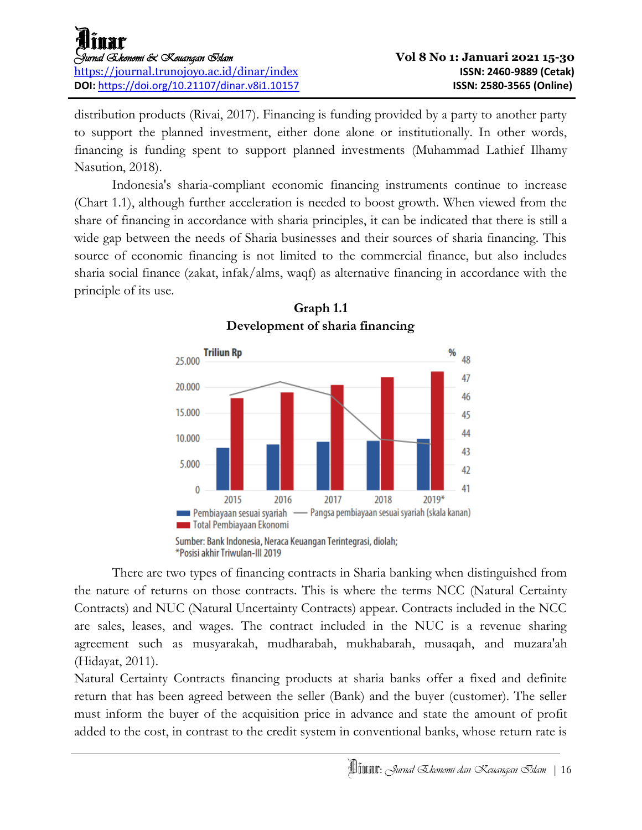distribution products (Rivai, 2017). Financing is funding provided by a party to another party to support the planned investment, either done alone or institutionally. In other words, financing is funding spent to support planned investments (Muhammad Lathief Ilhamy Nasution, 2018).

Indonesia's sharia-compliant economic financing instruments continue to increase (Chart 1.1), although further acceleration is needed to boost growth. When viewed from the share of financing in accordance with sharia principles, it can be indicated that there is still a wide gap between the needs of Sharia businesses and their sources of sharia financing. This source of economic financing is not limited to the commercial finance, but also includes sharia social finance (zakat, infak/alms, waqf) as alternative financing in accordance with the principle of its use.



**Graph 1.1 Development of sharia financing**

Sumber: Bank Indonesia, Neraca Keuangan Terintegrasi, diolah; \*Posisi akhir Triwulan-III 2019

There are two types of financing contracts in Sharia banking when distinguished from the nature of returns on those contracts. This is where the terms NCC (Natural Certainty Contracts) and NUC (Natural Uncertainty Contracts) appear. Contracts included in the NCC are sales, leases, and wages. The contract included in the NUC is a revenue sharing agreement such as musyarakah, mudharabah, mukhabarah, musaqah, and muzara'ah (Hidayat, 2011).

Natural Certainty Contracts financing products at sharia banks offer a fixed and definite return that has been agreed between the seller (Bank) and the buyer (customer). The seller must inform the buyer of the acquisition price in advance and state the amount of profit added to the cost, in contrast to the credit system in conventional banks, whose return rate is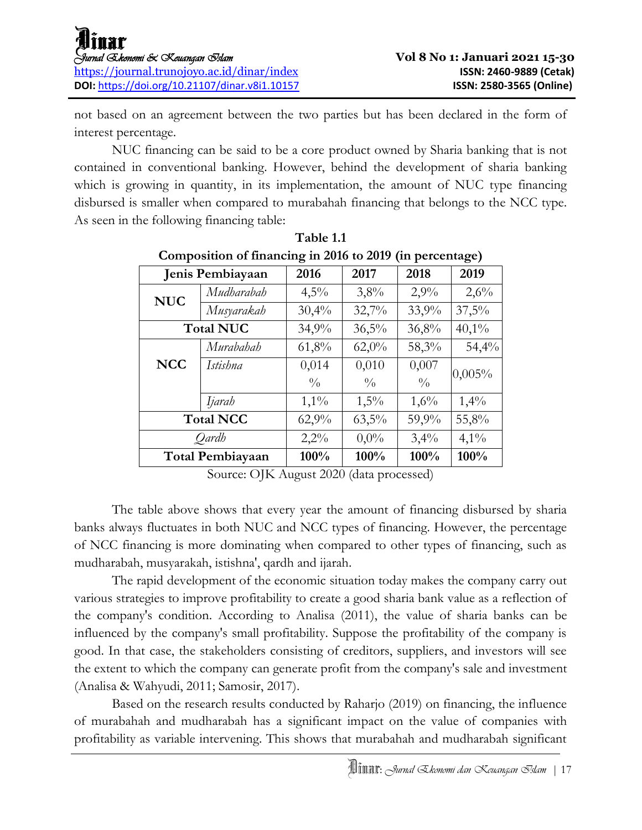not based on an agreement between the two parties but has been declared in the form of interest percentage.

NUC financing can be said to be a core product owned by Sharia banking that is not contained in conventional banking. However, behind the development of sharia banking which is growing in quantity, in its implementation, the amount of NUC type financing disbursed is smaller when compared to murabahah financing that belongs to the NCC type. As seen in the following financing table:

| : --- -<br>$V^{\text{max}}$ $V^{\text{max}}$<br>י – |                  |               |               |               |          |  |  |  |
|-----------------------------------------------------|------------------|---------------|---------------|---------------|----------|--|--|--|
|                                                     | Jenis Pembiayaan |               | 2017          | 2018          | 2019     |  |  |  |
| <b>NUC</b>                                          | Mudharabah       | 4,5%          | 3,8%          | 2,9%          | 2,6%     |  |  |  |
|                                                     | Musyarakah       | 30,4%         | 32,7%         | 33,9%         | 37,5%    |  |  |  |
|                                                     | <b>Total NUC</b> | 34,9%         | 36,5%         | 36,8%         | $40,1\%$ |  |  |  |
|                                                     | Murabahah        | 61,8%         | 62,0%         | 58,3%         | 54,4%    |  |  |  |
| <b>NCC</b>                                          | Istishna         | 0,014         | 0,010         | 0,007         | 0,005%   |  |  |  |
|                                                     |                  | $\frac{0}{0}$ | $\frac{0}{0}$ | $\frac{0}{0}$ |          |  |  |  |
|                                                     | Ijarah           | $1,1\%$       | 1,5%          | 1,6%          | 1,4%     |  |  |  |
| <b>Total NCC</b>                                    |                  | 62,9%         | $63,5\%$      | 59,9%         | 55,8%    |  |  |  |
| Oardh                                               |                  | 2,2%          | $0,0\%$       | 3,4%          | $4,1\%$  |  |  |  |
| <b>Total Pembiayaan</b>                             |                  | 100%          | 100%          | 100%          | 100%     |  |  |  |

**Table 1.1 Composition of financing in 2016 to 2019 (in percentage)**

Source: OJK August 2020 (data processed)

The table above shows that every year the amount of financing disbursed by sharia banks always fluctuates in both NUC and NCC types of financing. However, the percentage of NCC financing is more dominating when compared to other types of financing, such as mudharabah, musyarakah, istishna', qardh and ijarah.

The rapid development of the economic situation today makes the company carry out various strategies to improve profitability to create a good sharia bank value as a reflection of the company's condition. According to Analisa (2011), the value of sharia banks can be influenced by the company's small profitability. Suppose the profitability of the company is good. In that case, the stakeholders consisting of creditors, suppliers, and investors will see the extent to which the company can generate profit from the company's sale and investment (Analisa & Wahyudi, 2011; Samosir, 2017).

Based on the research results conducted by Raharjo (2019) on financing, the influence of murabahah and mudharabah has a significant impact on the value of companies with profitability as variable intervening. This shows that murabahah and mudharabah significant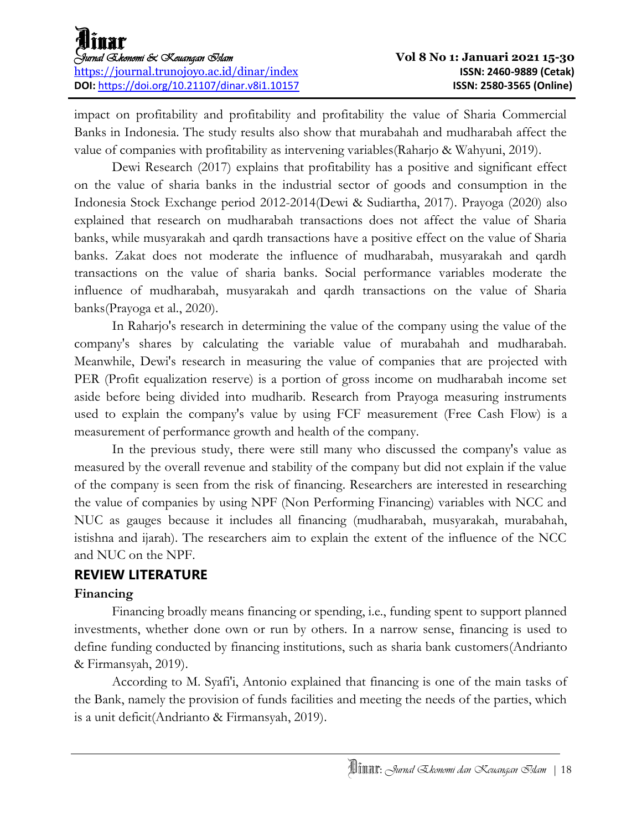impact on profitability and profitability and profitability the value of Sharia Commercial Banks in Indonesia. The study results also show that murabahah and mudharabah affect the value of companies with profitability as intervening variables(Raharjo & Wahyuni, 2019).

Dewi Research (2017) explains that profitability has a positive and significant effect on the value of sharia banks in the industrial sector of goods and consumption in the Indonesia Stock Exchange period 2012-2014(Dewi & Sudiartha, 2017). Prayoga (2020) also explained that research on mudharabah transactions does not affect the value of Sharia banks, while musyarakah and qardh transactions have a positive effect on the value of Sharia banks. Zakat does not moderate the influence of mudharabah, musyarakah and qardh transactions on the value of sharia banks. Social performance variables moderate the influence of mudharabah, musyarakah and qardh transactions on the value of Sharia banks(Prayoga et al., 2020).

In Raharjo's research in determining the value of the company using the value of the company's shares by calculating the variable value of murabahah and mudharabah. Meanwhile, Dewi's research in measuring the value of companies that are projected with PER (Profit equalization reserve) is a portion of gross income on mudharabah income set aside before being divided into mudharib. Research from Prayoga measuring instruments used to explain the company's value by using FCF measurement (Free Cash Flow) is a measurement of performance growth and health of the company.

In the previous study, there were still many who discussed the company's value as measured by the overall revenue and stability of the company but did not explain if the value of the company is seen from the risk of financing. Researchers are interested in researching the value of companies by using NPF (Non Performing Financing) variables with NCC and NUC as gauges because it includes all financing (mudharabah, musyarakah, murabahah, istishna and ijarah). The researchers aim to explain the extent of the influence of the NCC and NUC on the NPF.

### **REVIEW LITERATURE**

### **Financing**

Financing broadly means financing or spending, i.e., funding spent to support planned investments, whether done own or run by others. In a narrow sense, financing is used to define funding conducted by financing institutions, such as sharia bank customers(Andrianto & Firmansyah, 2019).

According to M. Syafi'i, Antonio explained that financing is one of the main tasks of the Bank, namely the provision of funds facilities and meeting the needs of the parties, which is a unit deficit(Andrianto & Firmansyah, 2019).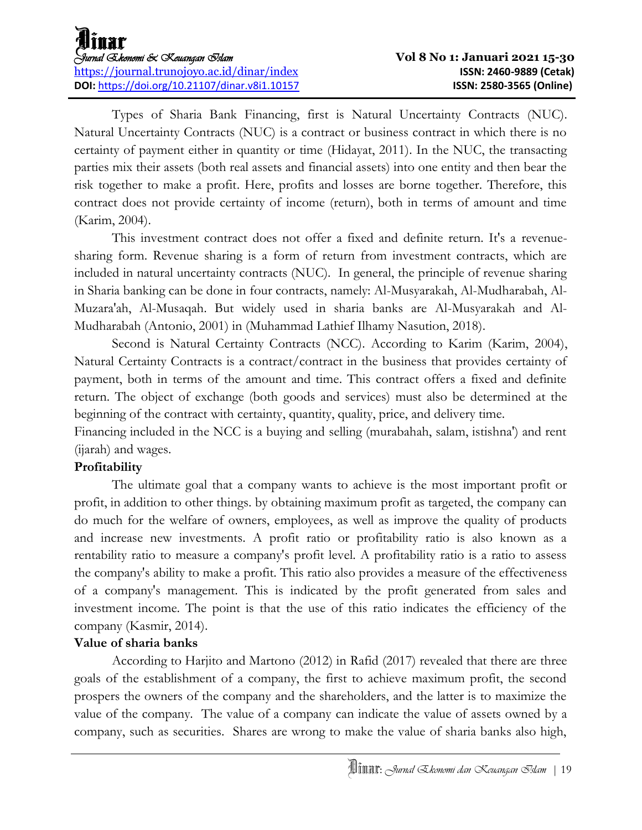Types of Sharia Bank Financing, first is Natural Uncertainty Contracts (NUC). Natural Uncertainty Contracts (NUC) is a contract or business contract in which there is no certainty of payment either in quantity or time (Hidayat, 2011). In the NUC, the transacting parties mix their assets (both real assets and financial assets) into one entity and then bear the risk together to make a profit. Here, profits and losses are borne together. Therefore, this contract does not provide certainty of income (return), both in terms of amount and time (Karim, 2004).

This investment contract does not offer a fixed and definite return. It's a revenuesharing form. Revenue sharing is a form of return from investment contracts, which are included in natural uncertainty contracts (NUC). In general, the principle of revenue sharing in Sharia banking can be done in four contracts, namely: Al-Musyarakah, Al-Mudharabah, Al-Muzara'ah, Al-Musaqah. But widely used in sharia banks are Al-Musyarakah and Al-Mudharabah (Antonio, 2001) in (Muhammad Lathief Ilhamy Nasution, 2018).

Second is Natural Certainty Contracts (NCC). According to Karim (Karim, 2004), Natural Certainty Contracts is a contract/contract in the business that provides certainty of payment, both in terms of the amount and time. This contract offers a fixed and definite return. The object of exchange (both goods and services) must also be determined at the beginning of the contract with certainty, quantity, quality, price, and delivery time.

Financing included in the NCC is a buying and selling (murabahah, salam, istishna') and rent (ijarah) and wages.

### **Profitability**

The ultimate goal that a company wants to achieve is the most important profit or profit, in addition to other things. by obtaining maximum profit as targeted, the company can do much for the welfare of owners, employees, as well as improve the quality of products and increase new investments. A profit ratio or profitability ratio is also known as a rentability ratio to measure a company's profit level. A profitability ratio is a ratio to assess the company's ability to make a profit. This ratio also provides a measure of the effectiveness of a company's management. This is indicated by the profit generated from sales and investment income. The point is that the use of this ratio indicates the efficiency of the company (Kasmir, 2014).

### **Value of sharia banks**

According to Harjito and Martono (2012) in Rafid (2017) revealed that there are three goals of the establishment of a company, the first to achieve maximum profit, the second prospers the owners of the company and the shareholders, and the latter is to maximize the value of the company. The value of a company can indicate the value of assets owned by a company, such as securities. Shares are wrong to make the value of sharia banks also high,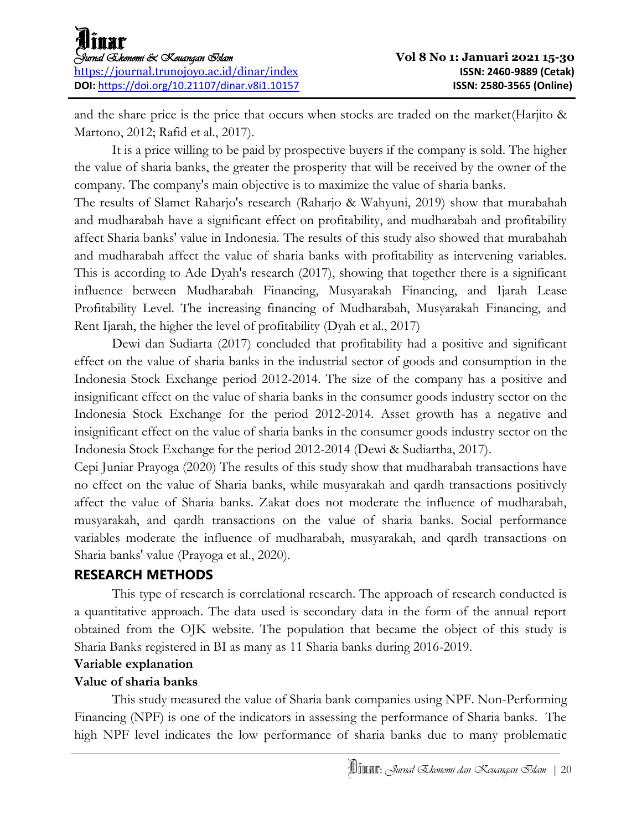and the share price is the price that occurs when stocks are traded on the market(Harjito & Martono, 2012; Rafid et al., 2017).

It is a price willing to be paid by prospective buyers if the company is sold. The higher the value of sharia banks, the greater the prosperity that will be received by the owner of the company. The company's main objective is to maximize the value of sharia banks.

The results of Slamet Raharjo's research (Raharjo & Wahyuni, 2019) show that murabahah and mudharabah have a significant effect on profitability, and mudharabah and profitability affect Sharia banks' value in Indonesia. The results of this study also showed that murabahah and mudharabah affect the value of sharia banks with profitability as intervening variables. This is according to Ade Dyah's research (2017), showing that together there is a significant influence between Mudharabah Financing, Musyarakah Financing, and Ijarah Lease Profitability Level. The increasing financing of Mudharabah, Musyarakah Financing, and Rent Ijarah, the higher the level of profitability (Dyah et al., 2017)

Dewi dan Sudiarta (2017) concluded that profitability had a positive and significant effect on the value of sharia banks in the industrial sector of goods and consumption in the Indonesia Stock Exchange period 2012-2014. The size of the company has a positive and insignificant effect on the value of sharia banks in the consumer goods industry sector on the Indonesia Stock Exchange for the period 2012-2014. Asset growth has a negative and insignificant effect on the value of sharia banks in the consumer goods industry sector on the Indonesia Stock Exchange for the period 2012-2014 (Dewi & Sudiartha, 2017).

Cepi Juniar Prayoga (2020) The results of this study show that mudharabah transactions have no effect on the value of Sharia banks, while musyarakah and qardh transactions positively affect the value of Sharia banks. Zakat does not moderate the influence of mudharabah, musyarakah, and qardh transactions on the value of sharia banks. Social performance variables moderate the influence of mudharabah, musyarakah, and qardh transactions on Sharia banks' value (Prayoga et al., 2020).

### **RESEARCH METHODS**

This type of research is correlational research. The approach of research conducted is a quantitative approach. The data used is secondary data in the form of the annual report obtained from the OJK website. The population that became the object of this study is Sharia Banks registered in BI as many as 11 Sharia banks during 2016-2019.

### **Variable explanation**

### **Value of sharia banks**

This study measured the value of Sharia bank companies using NPF. Non-Performing Financing (NPF) is one of the indicators in assessing the performance of Sharia banks. The high NPF level indicates the low performance of sharia banks due to many problematic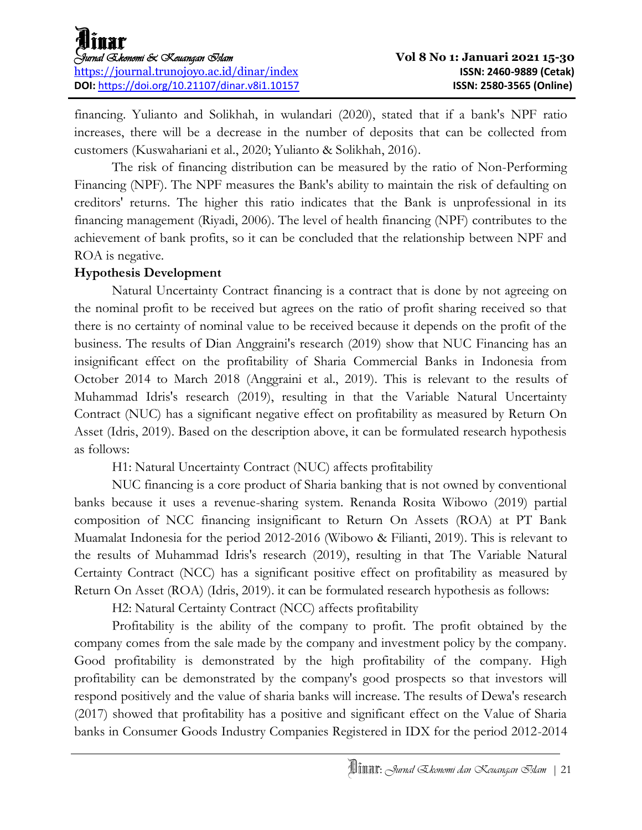financing. Yulianto and Solikhah, in wulandari (2020), stated that if a bank's NPF ratio increases, there will be a decrease in the number of deposits that can be collected from customers (Kuswahariani et al., 2020; Yulianto & Solikhah, 2016).

The risk of financing distribution can be measured by the ratio of Non-Performing Financing (NPF). The NPF measures the Bank's ability to maintain the risk of defaulting on creditors' returns. The higher this ratio indicates that the Bank is unprofessional in its financing management (Riyadi, 2006). The level of health financing (NPF) contributes to the achievement of bank profits, so it can be concluded that the relationship between NPF and ROA is negative.

### **Hypothesis Development**

Natural Uncertainty Contract financing is a contract that is done by not agreeing on the nominal profit to be received but agrees on the ratio of profit sharing received so that there is no certainty of nominal value to be received because it depends on the profit of the business. The results of Dian Anggraini's research (2019) show that NUC Financing has an insignificant effect on the profitability of Sharia Commercial Banks in Indonesia from October 2014 to March 2018 (Anggraini et al., 2019). This is relevant to the results of Muhammad Idris's research (2019), resulting in that the Variable Natural Uncertainty Contract (NUC) has a significant negative effect on profitability as measured by Return On Asset (Idris, 2019). Based on the description above, it can be formulated research hypothesis as follows:

H1: Natural Uncertainty Contract (NUC) affects profitability

NUC financing is a core product of Sharia banking that is not owned by conventional banks because it uses a revenue-sharing system. Renanda Rosita Wibowo (2019) partial composition of NCC financing insignificant to Return On Assets (ROA) at PT Bank Muamalat Indonesia for the period 2012-2016 (Wibowo & Filianti, 2019). This is relevant to the results of Muhammad Idris's research (2019), resulting in that The Variable Natural Certainty Contract (NCC) has a significant positive effect on profitability as measured by Return On Asset (ROA) (Idris, 2019). it can be formulated research hypothesis as follows:

H2: Natural Certainty Contract (NCC) affects profitability

Profitability is the ability of the company to profit. The profit obtained by the company comes from the sale made by the company and investment policy by the company. Good profitability is demonstrated by the high profitability of the company. High profitability can be demonstrated by the company's good prospects so that investors will respond positively and the value of sharia banks will increase. The results of Dewa's research (2017) showed that profitability has a positive and significant effect on the Value of Sharia banks in Consumer Goods Industry Companies Registered in IDX for the period 2012-2014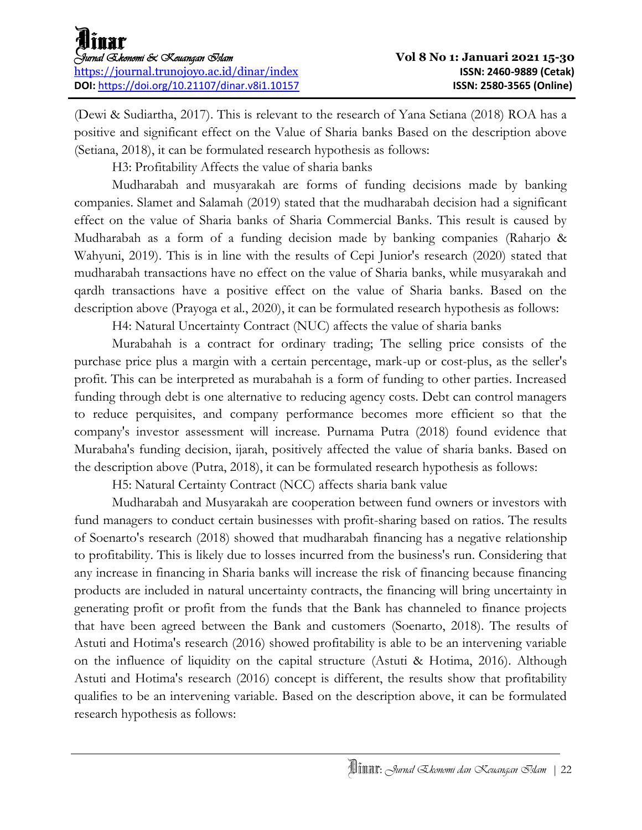(Dewi & Sudiartha, 2017). This is relevant to the research of Yana Setiana (2018) ROA has a positive and significant effect on the Value of Sharia banks Based on the description above (Setiana, 2018), it can be formulated research hypothesis as follows:

H3: Profitability Affects the value of sharia banks

Mudharabah and musyarakah are forms of funding decisions made by banking companies. Slamet and Salamah (2019) stated that the mudharabah decision had a significant effect on the value of Sharia banks of Sharia Commercial Banks. This result is caused by Mudharabah as a form of a funding decision made by banking companies (Raharjo & Wahyuni, 2019). This is in line with the results of Cepi Junior's research (2020) stated that mudharabah transactions have no effect on the value of Sharia banks, while musyarakah and qardh transactions have a positive effect on the value of Sharia banks. Based on the description above (Prayoga et al., 2020), it can be formulated research hypothesis as follows:

H4: Natural Uncertainty Contract (NUC) affects the value of sharia banks

Murabahah is a contract for ordinary trading; The selling price consists of the purchase price plus a margin with a certain percentage, mark-up or cost-plus, as the seller's profit. This can be interpreted as murabahah is a form of funding to other parties. Increased funding through debt is one alternative to reducing agency costs. Debt can control managers to reduce perquisites, and company performance becomes more efficient so that the company's investor assessment will increase. Purnama Putra (2018) found evidence that Murabaha's funding decision, ijarah, positively affected the value of sharia banks. Based on the description above (Putra, 2018), it can be formulated research hypothesis as follows:

H5: Natural Certainty Contract (NCC) affects sharia bank value

Mudharabah and Musyarakah are cooperation between fund owners or investors with fund managers to conduct certain businesses with profit-sharing based on ratios. The results of Soenarto's research (2018) showed that mudharabah financing has a negative relationship to profitability. This is likely due to losses incurred from the business's run. Considering that any increase in financing in Sharia banks will increase the risk of financing because financing products are included in natural uncertainty contracts, the financing will bring uncertainty in generating profit or profit from the funds that the Bank has channeled to finance projects that have been agreed between the Bank and customers (Soenarto, 2018). The results of Astuti and Hotima's research (2016) showed profitability is able to be an intervening variable on the influence of liquidity on the capital structure (Astuti & Hotima, 2016). Although Astuti and Hotima's research (2016) concept is different, the results show that profitability qualifies to be an intervening variable. Based on the description above, it can be formulated research hypothesis as follows: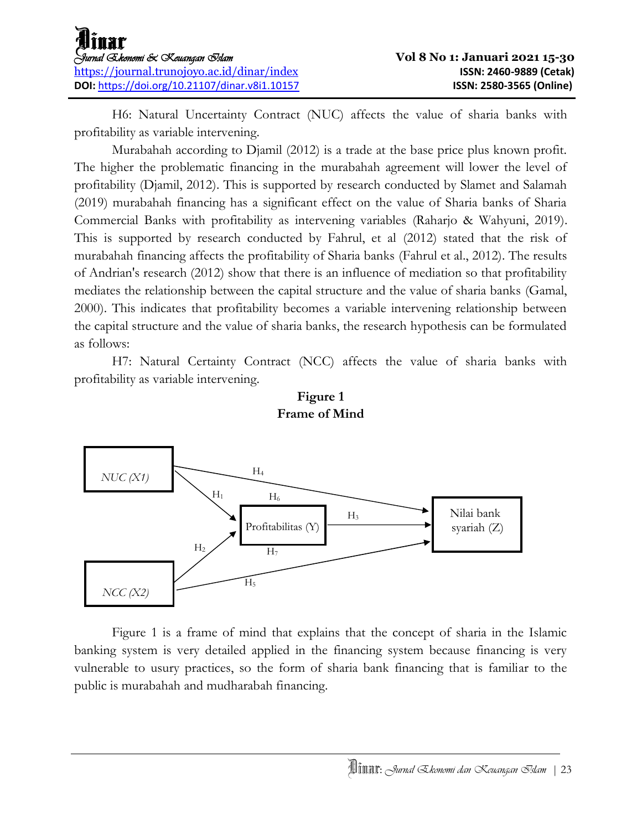H6: Natural Uncertainty Contract (NUC) affects the value of sharia banks with profitability as variable intervening.

Murabahah according to Djamil (2012) is a trade at the base price plus known profit. The higher the problematic financing in the murabahah agreement will lower the level of profitability (Djamil, 2012). This is supported by research conducted by Slamet and Salamah (2019) murabahah financing has a significant effect on the value of Sharia banks of Sharia Commercial Banks with profitability as intervening variables (Raharjo & Wahyuni, 2019). This is supported by research conducted by Fahrul, et al (2012) stated that the risk of murabahah financing affects the profitability of Sharia banks (Fahrul et al., 2012). The results of Andrian's research (2012) show that there is an influence of mediation so that profitability mediates the relationship between the capital structure and the value of sharia banks (Gamal, 2000). This indicates that profitability becomes a variable intervening relationship between the capital structure and the value of sharia banks, the research hypothesis can be formulated as follows:

H7: Natural Certainty Contract (NCC) affects the value of sharia banks with profitability as variable intervening.





Figure 1 is a frame of mind that explains that the concept of sharia in the Islamic banking system is very detailed applied in the financing system because financing is very vulnerable to usury practices, so the form of sharia bank financing that is familiar to the public is murabahah and mudharabah financing.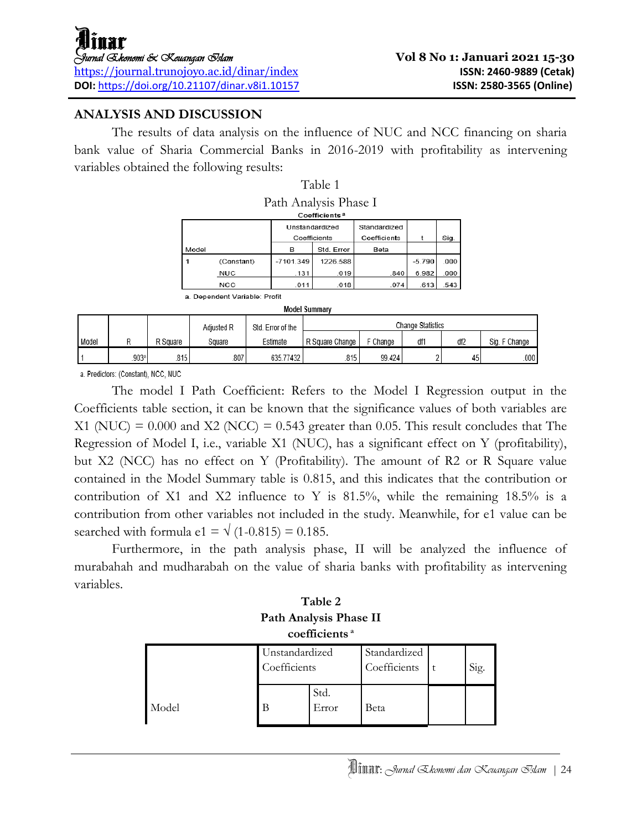### **ANALYSIS AND DISCUSSION**

The results of data analysis on the influence of NUC and NCC financing on sharia bank value of Sharia Commercial Banks in 2016-2019 with profitability as intervening variables obtained the following results:

Table 1

| Path Analysis Phase I<br>Coefficients <sup>a</sup> |                                                                |             |            |      |          |      |  |  |  |
|----------------------------------------------------|----------------------------------------------------------------|-------------|------------|------|----------|------|--|--|--|
|                                                    | Standardized<br>Unstandardized<br>Coefficients<br>Coefficients |             |            |      |          | Sig. |  |  |  |
| Model                                              |                                                                | в           | Std. Error | Beta |          |      |  |  |  |
|                                                    | (Constant)                                                     | $-7101.349$ | 1226.588   |      | $-5.790$ | .000 |  |  |  |
|                                                    | NUC                                                            | .131        | .019       | .840 | 6.982    | .000 |  |  |  |
|                                                    | NCC                                                            | .011        | .018       | .074 | .613     | .543 |  |  |  |

a. Dependent Variable: Profit

| Model Summary |      |                                                      |        |           |                 |          |     |     |               |  |
|---------------|------|------------------------------------------------------|--------|-----------|-----------------|----------|-----|-----|---------------|--|
|               |      | Change Statistics<br>Adiusted R<br>Std. Error of the |        |           |                 |          |     |     |               |  |
| Model         |      | R Square                                             | Square | Estimate  | R Square Change | F Change | df1 | df2 | Sig. F Change |  |
|               | 903ª | .815                                                 | .807   | 635.77432 | 815             | 99.424   |     | 45  | .000          |  |

a. Predictors: (Constant), NCC, NUC

The model I Path Coefficient: Refers to the Model I Regression output in the Coefficients table section, it can be known that the significance values of both variables are  $X1$  (NUC) = 0.000 and  $X2$  (NCC) = 0.543 greater than 0.05. This result concludes that The Regression of Model I, i.e., variable X1 (NUC), has a significant effect on Y (profitability), but X2 (NCC) has no effect on Y (Profitability). The amount of R2 or R Square value contained in the Model Summary table is 0.815, and this indicates that the contribution or contribution of X1 and X2 influence to Y is  $81.5\%$ , while the remaining  $18.5\%$  is a contribution from other variables not included in the study. Meanwhile, for e1 value can be searched with formula e1 =  $\sqrt{(1-0.815)}$  = 0.185.

Furthermore, in the path analysis phase, II will be analyzed the influence of murabahah and mudharabah on the value of sharia banks with profitability as intervening variables.

### **Table 2 Path Analysis Phase II coefficients <sup>a</sup>**

|       | Unstandardized<br>Coefficients |               | Standardized<br>Coefficients | Sig. |
|-------|--------------------------------|---------------|------------------------------|------|
| Model |                                | Std.<br>Error | Beta                         |      |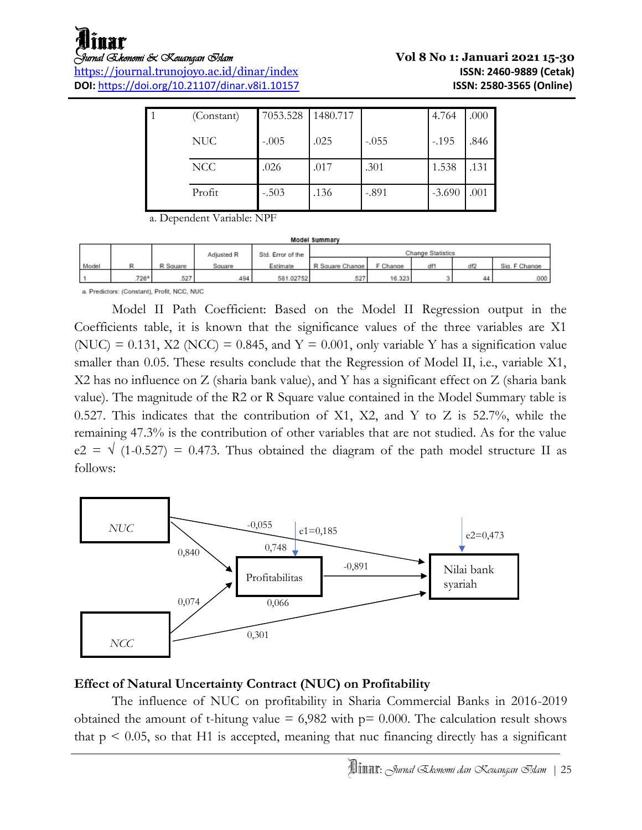<https://journal.trunojoyo.ac.id/dinar/index> **ISSN: 2460-9889 (Cetak) DOI:** <https://doi.org/10.21107/dinar.v8i1.10157> **ISSN: 2580-3565 (Online)** 

# *Jurnal Ekonomi & Keuangan Islam* **Vol 8 No 1: Januari 2021 15-30**

| (Constant) | 7053.528 | 1480.717 |         | 4.764    | .000 |
|------------|----------|----------|---------|----------|------|
| <b>NUC</b> | $-.005$  | .025     | $-.055$ | $-.195$  | .846 |
| NCC        | .026     | .017     | .301    | 1.538    | .131 |
| Profit     | $-.503$  | .136     | $-.891$ | $-3.690$ | .001 |

a. Dependent Variable: NPF

| Model Summary |      |          |            |                   |                          |          |     |     |               |
|---------------|------|----------|------------|-------------------|--------------------------|----------|-----|-----|---------------|
|               |      |          | Adjusted R | Std. Error of the | <b>Change Statistics</b> |          |     |     |               |
| Model         |      | R Square | Square     | Estimate          | R Square Change          | F Change | df* | df2 | Sig. F Change |
|               | 726ª | .527     | .494       | 581.02752         | .527                     | 16.323   |     | 44  | 000.          |

a. Predictors: (Constant), Profit, NCC, NUC

Model II Path Coefficient: Based on the Model II Regression output in the Coefficients table, it is known that the significance values of the three variables are X1 (NUC) = 0.131, X2 (NCC) = 0.845, and  $Y = 0.001$ , only variable Y has a signification value smaller than 0.05. These results conclude that the Regression of Model II, i.e., variable X1, X2 has no influence on Z (sharia bank value), and Y has a significant effect on Z (sharia bank value). The magnitude of the R2 or R Square value contained in the Model Summary table is 0.527. This indicates that the contribution of X1, X2, and Y to Z is 52.7%, while the remaining 47.3% is the contribution of other variables that are not studied. As for the value  $e2 = \sqrt{(1-0.527)} = 0.473$ . Thus obtained the diagram of the path model structure II as follows:



### **Effect of Natural Uncertainty Contract (NUC) on Profitability**

The influence of NUC on profitability in Sharia Commercial Banks in 2016-2019 obtained the amount of t-hitung value  $= 6,982$  with  $p= 0.000$ . The calculation result shows that  $p \leq 0.05$ , so that H1 is accepted, meaning that nuc financing directly has a significant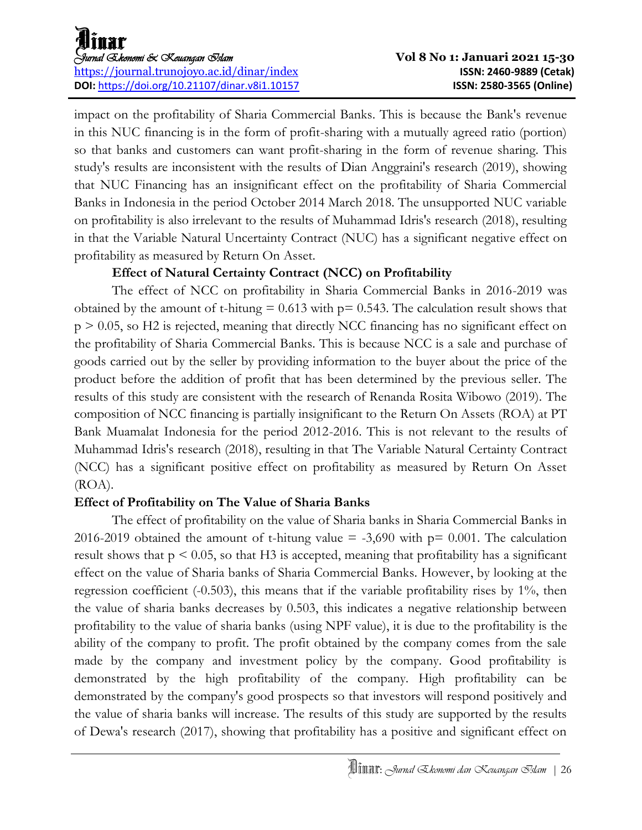impact on the profitability of Sharia Commercial Banks. This is because the Bank's revenue in this NUC financing is in the form of profit-sharing with a mutually agreed ratio (portion) so that banks and customers can want profit-sharing in the form of revenue sharing. This study's results are inconsistent with the results of Dian Anggraini's research (2019), showing that NUC Financing has an insignificant effect on the profitability of Sharia Commercial Banks in Indonesia in the period October 2014 March 2018. The unsupported NUC variable on profitability is also irrelevant to the results of Muhammad Idris's research (2018), resulting in that the Variable Natural Uncertainty Contract (NUC) has a significant negative effect on profitability as measured by Return On Asset.

### **Effect of Natural Certainty Contract (NCC) on Profitability**

The effect of NCC on profitability in Sharia Commercial Banks in 2016-2019 was obtained by the amount of t-hitung  $= 0.613$  with  $p = 0.543$ . The calculation result shows that p > 0.05, so H2 is rejected, meaning that directly NCC financing has no significant effect on the profitability of Sharia Commercial Banks. This is because NCC is a sale and purchase of goods carried out by the seller by providing information to the buyer about the price of the product before the addition of profit that has been determined by the previous seller. The results of this study are consistent with the research of Renanda Rosita Wibowo (2019). The composition of NCC financing is partially insignificant to the Return On Assets (ROA) at PT Bank Muamalat Indonesia for the period 2012-2016. This is not relevant to the results of Muhammad Idris's research (2018), resulting in that The Variable Natural Certainty Contract (NCC) has a significant positive effect on profitability as measured by Return On Asset (ROA).

### **Effect of Profitability on The Value of Sharia Banks**

The effect of profitability on the value of Sharia banks in Sharia Commercial Banks in 2016-2019 obtained the amount of t-hitung value  $=$  -3,690 with  $p=$  0.001. The calculation result shows that  $p \le 0.05$ , so that H3 is accepted, meaning that profitability has a significant effect on the value of Sharia banks of Sharia Commercial Banks. However, by looking at the regression coefficient  $(-0.503)$ , this means that if the variable profitability rises by  $1\%$ , then the value of sharia banks decreases by 0.503, this indicates a negative relationship between profitability to the value of sharia banks (using NPF value), it is due to the profitability is the ability of the company to profit. The profit obtained by the company comes from the sale made by the company and investment policy by the company. Good profitability is demonstrated by the high profitability of the company. High profitability can be demonstrated by the company's good prospects so that investors will respond positively and the value of sharia banks will increase. The results of this study are supported by the results of Dewa's research (2017), showing that profitability has a positive and significant effect on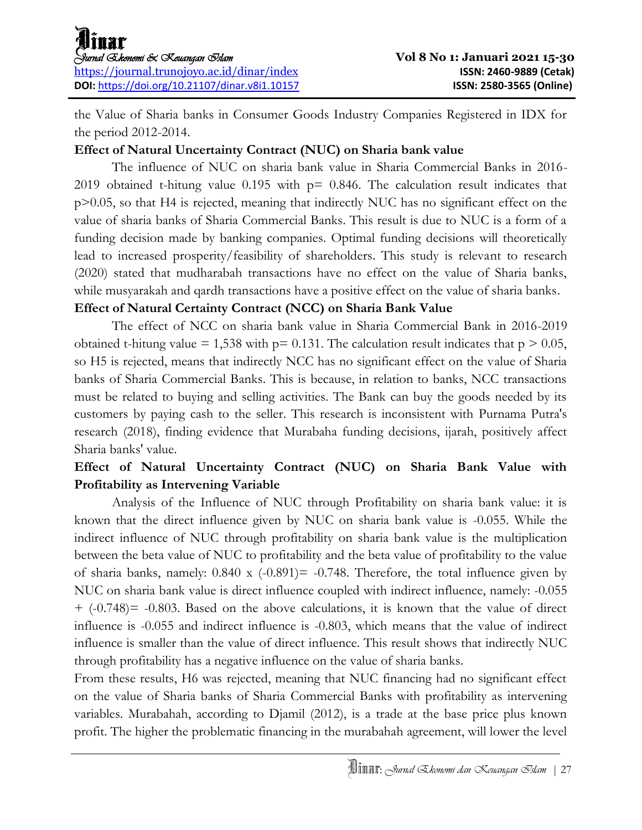the Value of Sharia banks in Consumer Goods Industry Companies Registered in IDX for the period 2012-2014.

### **Effect of Natural Uncertainty Contract (NUC) on Sharia bank value**

The influence of NUC on sharia bank value in Sharia Commercial Banks in 2016- 2019 obtained t-hitung value 0.195 with  $p=$  0.846. The calculation result indicates that p>0.05, so that H4 is rejected, meaning that indirectly NUC has no significant effect on the value of sharia banks of Sharia Commercial Banks. This result is due to NUC is a form of a funding decision made by banking companies. Optimal funding decisions will theoretically lead to increased prosperity/feasibility of shareholders. This study is relevant to research (2020) stated that mudharabah transactions have no effect on the value of Sharia banks, while musyarakah and qardh transactions have a positive effect on the value of sharia banks.

### **Effect of Natural Certainty Contract (NCC) on Sharia Bank Value**

The effect of NCC on sharia bank value in Sharia Commercial Bank in 2016-2019 obtained t-hitung value = 1,538 with  $p= 0.131$ . The calculation result indicates that  $p > 0.05$ , so H5 is rejected, means that indirectly NCC has no significant effect on the value of Sharia banks of Sharia Commercial Banks. This is because, in relation to banks, NCC transactions must be related to buying and selling activities. The Bank can buy the goods needed by its customers by paying cash to the seller. This research is inconsistent with Purnama Putra's research (2018), finding evidence that Murabaha funding decisions, ijarah, positively affect Sharia banks' value.

### **Effect of Natural Uncertainty Contract (NUC) on Sharia Bank Value with Profitability as Intervening Variable**

Analysis of the Influence of NUC through Profitability on sharia bank value: it is known that the direct influence given by NUC on sharia bank value is -0.055. While the indirect influence of NUC through profitability on sharia bank value is the multiplication between the beta value of NUC to profitability and the beta value of profitability to the value of sharia banks, namely:  $0.840 \times (-0.891) = -0.748$ . Therefore, the total influence given by NUC on sharia bank value is direct influence coupled with indirect influence, namely: -0.055 + (-0.748)= -0.803. Based on the above calculations, it is known that the value of direct influence is -0.055 and indirect influence is -0.803, which means that the value of indirect influence is smaller than the value of direct influence. This result shows that indirectly NUC through profitability has a negative influence on the value of sharia banks.

From these results, H6 was rejected, meaning that NUC financing had no significant effect on the value of Sharia banks of Sharia Commercial Banks with profitability as intervening variables. Murabahah, according to Djamil (2012), is a trade at the base price plus known profit. The higher the problematic financing in the murabahah agreement, will lower the level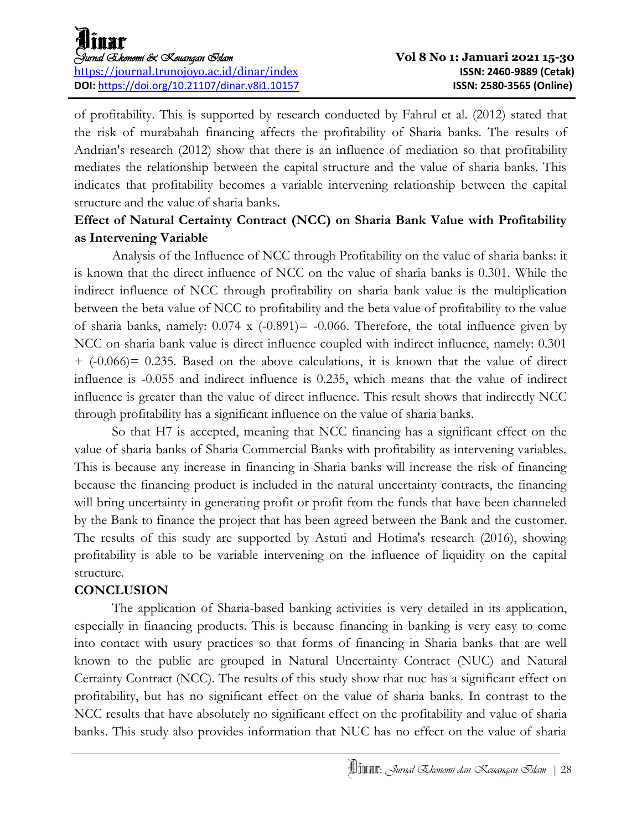of profitability. This is supported by research conducted by Fahrul et al. (2012) stated that the risk of murabahah financing affects the profitability of Sharia banks. The results of Andrian's research (2012) show that there is an influence of mediation so that profitability mediates the relationship between the capital structure and the value of sharia banks. This indicates that profitability becomes a variable intervening relationship between the capital structure and the value of sharia banks.

### **Effect of Natural Certainty Contract (NCC) on Sharia Bank Value with Profitability as Intervening Variable**

Analysis of the Influence of NCC through Profitability on the value of sharia banks: it is known that the direct influence of NCC on the value of sharia banks is 0.301. While the indirect influence of NCC through profitability on sharia bank value is the multiplication between the beta value of NCC to profitability and the beta value of profitability to the value of sharia banks, namely:  $0.074 \times (-0.891) = -0.066$ . Therefore, the total influence given by NCC on sharia bank value is direct influence coupled with indirect influence, namely: 0.301 + (-0.066)= 0.235. Based on the above calculations, it is known that the value of direct influence is -0.055 and indirect influence is 0.235, which means that the value of indirect influence is greater than the value of direct influence. This result shows that indirectly NCC through profitability has a significant influence on the value of sharia banks.

So that H7 is accepted, meaning that NCC financing has a significant effect on the value of sharia banks of Sharia Commercial Banks with profitability as intervening variables. This is because any increase in financing in Sharia banks will increase the risk of financing because the financing product is included in the natural uncertainty contracts, the financing will bring uncertainty in generating profit or profit from the funds that have been channeled by the Bank to finance the project that has been agreed between the Bank and the customer. The results of this study are supported by Astuti and Hotima's research (2016), showing profitability is able to be variable intervening on the influence of liquidity on the capital structure.

### **CONCLUSION**

The application of Sharia-based banking activities is very detailed in its application, especially in financing products. This is because financing in banking is very easy to come into contact with usury practices so that forms of financing in Sharia banks that are well known to the public are grouped in Natural Uncertainty Contract (NUC) and Natural Certainty Contract (NCC). The results of this study show that nuc has a significant effect on profitability, but has no significant effect on the value of sharia banks. In contrast to the NCC results that have absolutely no significant effect on the profitability and value of sharia banks. This study also provides information that NUC has no effect on the value of sharia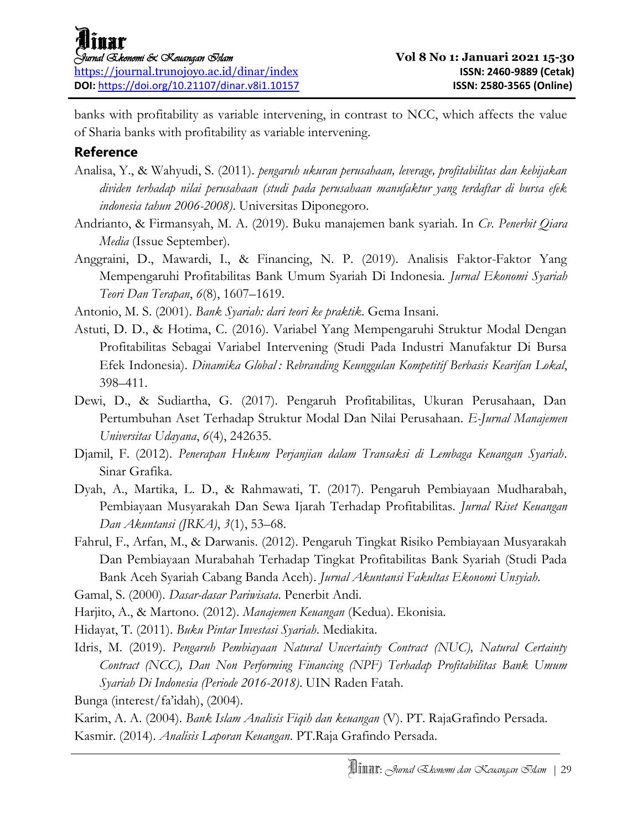banks with profitability as variable intervening, in contrast to NCC, which affects the value of Sharia banks with profitability as variable intervening.

### **Reference**

- Analisa, Y., & Wahyudi, S. (2011). *pengaruh ukuran perusahaan, leverage, profitabilitas dan kebijakan dividen terhadap nilai perusahaan (studi pada perusahaan manufaktur yang terdaftar di bursa efek indonesia tahun 2006-2008)*. Universitas Diponegoro.
- Andrianto, & Firmansyah, M. A. (2019). Buku manajemen bank syariah. In *Cv. Penerbit Qiara Media* (Issue September).
- Anggraini, D., Mawardi, I., & Financing, N. P. (2019). Analisis Faktor-Faktor Yang Mempengaruhi Profitabilitas Bank Umum Syariah Di Indonesia. *Jurnal Ekonomi Syariah Teori Dan Terapan*, *6*(8), 1607–1619.

Antonio, M. S. (2001). *Bank Syariah: dari teori ke praktik*. Gema Insani.

- Astuti, D. D., & Hotima, C. (2016). Variabel Yang Mempengaruhi Struktur Modal Dengan Profitabilitas Sebagai Variabel Intervening (Studi Pada Industri Manufaktur Di Bursa Efek Indonesia). *Dinamika Global : Rebranding Keunggulan Kompetitif Berbasis Kearifan Lokal*, 398–411.
- Dewi, D., & Sudiartha, G. (2017). Pengaruh Profitabilitas, Ukuran Perusahaan, Dan Pertumbuhan Aset Terhadap Struktur Modal Dan Nilai Perusahaan. *E-Jurnal Manajemen Universitas Udayana*, *6*(4), 242635.
- Djamil, F. (2012). *Penerapan Hukum Perjanjian dalam Transaksi di Lembaga Keuangan Syariah*. Sinar Grafika.
- Dyah, A., Martika, L. D., & Rahmawati, T. (2017). Pengaruh Pembiayaan Mudharabah, Pembiayaan Musyarakah Dan Sewa Ijarah Terhadap Profitabilitas. *Jurnal Riset Keuangan Dan Akuntansi (JRKA)*, *3*(1), 53–68.
- Fahrul, F., Arfan, M., & Darwanis. (2012). Pengaruh Tingkat Risiko Pembiayaan Musyarakah Dan Pembiayaan Murabahah Terhadap Tingkat Profitabilitas Bank Syariah (Studi Pada Bank Aceh Syariah Cabang Banda Aceh). *Jurnal Akuntansi Fakultas Ekonomi Unsyiah*.

Gamal, S. (2000). *Dasar-dasar Pariwisata*. Penerbit Andi.

Harjito, A., & Martono. (2012). *Manajemen Keuangan* (Kedua). Ekonisia.

Hidayat, T. (2011). *Buku Pintar Investasi Syariah*. Mediakita.

Idris, M. (2019). *Pengaruh Pembiayaan Natural Uncertainty Contract (NUC), Natural Certainty Contract (NCC), Dan Non Performing Financing (NPF) Terhadap Profitabilitas Bank Umum Syariah Di Indonesia (Periode 2016-2018)*. UIN Raden Fatah.

Bunga (interest/fa'idah), (2004).

Karim, A. A. (2004). *Bank Islam Analisis Fiqih dan keuangan* (V). PT. RajaGrafindo Persada. Kasmir. (2014). *Analisis Laporan Keuangan*. PT.Raja Grafindo Persada.